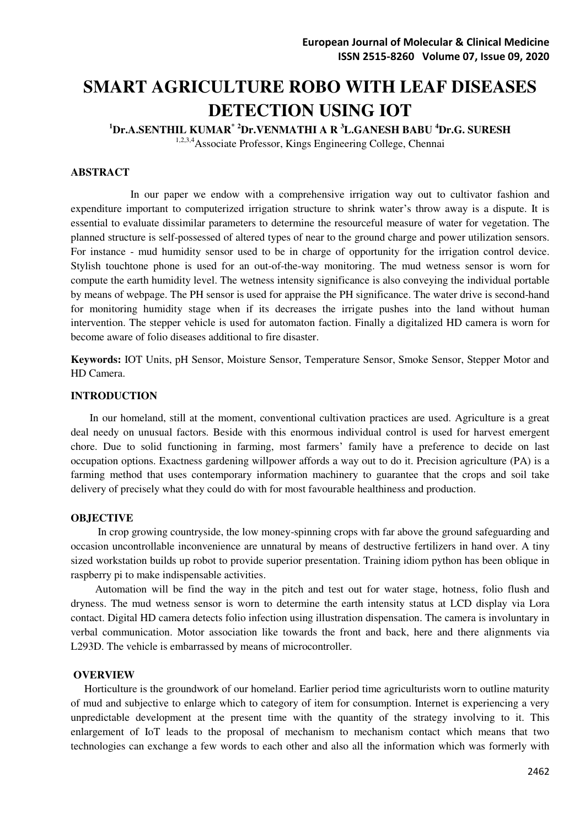# **SMART AGRICULTURE ROBO WITH LEAF DISEASES DETECTION USING IOT**

**<sup>1</sup>Dr.A.SENTHIL KUMAR\* <sup>2</sup>Dr.VENMATHI A R <sup>3</sup>L.GANESH BABU <sup>4</sup>Dr.G. SURESH**  1,2,3,4Associate Professor, Kings Engineering College, Chennai

## **ABSTRACT**

 In our paper we endow with a comprehensive irrigation way out to cultivator fashion and expenditure important to computerized irrigation structure to shrink water's throw away is a dispute. It is essential to evaluate dissimilar parameters to determine the resourceful measure of water for vegetation. The planned structure is self-possessed of altered types of near to the ground charge and power utilization sensors. For instance - mud humidity sensor used to be in charge of opportunity for the irrigation control device. Stylish touchtone phone is used for an out-of-the-way monitoring. The mud wetness sensor is worn for compute the earth humidity level. The wetness intensity significance is also conveying the individual portable by means of webpage. The PH sensor is used for appraise the PH significance. The water drive is second-hand for monitoring humidity stage when if its decreases the irrigate pushes into the land without human intervention. The stepper vehicle is used for automaton faction. Finally a digitalized HD camera is worn for become aware of folio diseases additional to fire disaster.

**Keywords:** IOT Units, pH Sensor, Moisture Sensor, Temperature Sensor, Smoke Sensor, Stepper Motor and HD Camera.

#### **INTRODUCTION**

 In our homeland, still at the moment, conventional cultivation practices are used. Agriculture is a great deal needy on unusual factors. Beside with this enormous individual control is used for harvest emergent chore. Due to solid functioning in farming, most farmers' family have a preference to decide on last occupation options. Exactness gardening willpower affords a way out to do it. Precision agriculture (PA) is a farming method that uses contemporary information machinery to guarantee that the crops and soil take delivery of precisely what they could do with for most favourable healthiness and production.

#### **OBJECTIVE**

 In crop growing countryside, the low money-spinning crops with far above the ground safeguarding and occasion uncontrollable inconvenience are unnatural by means of destructive fertilizers in hand over. A tiny sized workstation builds up robot to provide superior presentation. Training idiom python has been oblique in raspberry pi to make indispensable activities.

 Automation will be find the way in the pitch and test out for water stage, hotness, folio flush and dryness. The mud wetness sensor is worn to determine the earth intensity status at LCD display via Lora contact. Digital HD camera detects folio infection using illustration dispensation. The camera is involuntary in verbal communication. Motor association like towards the front and back, here and there alignments via L293D. The vehicle is embarrassed by means of microcontroller.

#### **OVERVIEW**

 Horticulture is the groundwork of our homeland. Earlier period time agriculturists worn to outline maturity of mud and subjective to enlarge which to category of item for consumption. Internet is experiencing a very unpredictable development at the present time with the quantity of the strategy involving to it. This enlargement of IoT leads to the proposal of mechanism to mechanism contact which means that two technologies can exchange a few words to each other and also all the information which was formerly with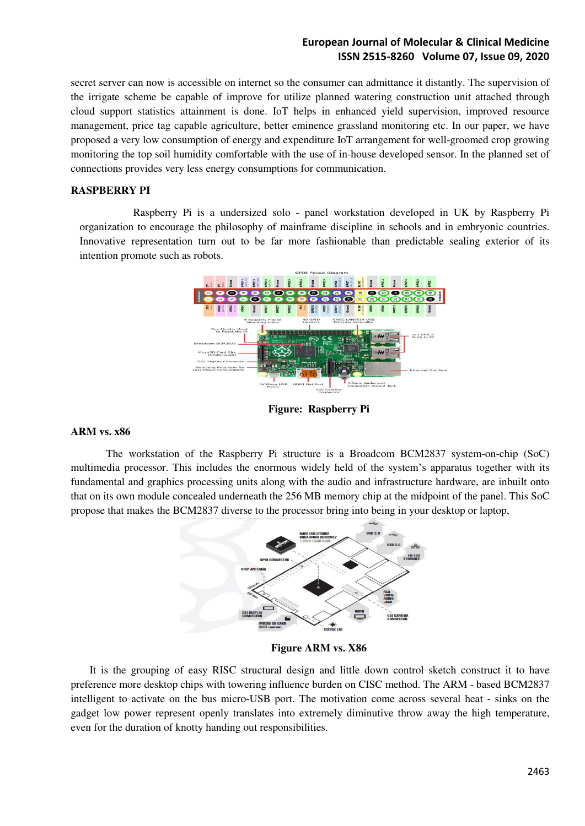secret server can now is accessible on internet so the consumer can admittance it distantly. The supervision of the irrigate scheme be capable of improve for utilize planned watering construction unit attached through cloud support statistics attainment is done. IoT helps in enhanced yield supervision, improved resource management, price tag capable agriculture, better eminence grassland monitoring etc. In our paper, we have proposed a very low consumption of energy and expenditure IoT arrangement for well-groomed crop growing monitoring the top soil humidity comfortable with the use of in-house developed sensor. In the planned set of connections provides very less energy consumptions for communication.

## **RASPBERRY PI**

 Raspberry Pi is a undersized solo - panel workstation developed in UK by Raspberry Pi organization to encourage the philosophy of mainframe discipline in schools and in embryonic countries. Innovative representation turn out to be far more fashionable than predictable sealing exterior of its intention promote such as robots.



**Figure: Raspberry Pi** 

#### **ARM vs. x86**

The workstation of the Raspberry Pi structure is a Broadcom BCM2837 system-on-chip (SoC) multimedia processor. This includes the enormous widely held of the system's apparatus together with its fundamental and graphics processing units along with the audio and infrastructure hardware, are inbuilt onto that on its own module concealed underneath the 256 MB memory chip at the midpoint of the panel. This SoC propose that makes the BCM2837 diverse to the processor bring into being in your desktop or laptop,



**Figure ARM vs. X86** 

 It is the grouping of easy RISC structural design and little down control sketch construct it to have preference more desktop chips with towering influence burden on CISC method. The ARM - based BCM2837 intelligent to activate on the bus micro-USB port. The motivation come across several heat - sinks on the gadget low power represent openly translates into extremely diminutive throw away the high temperature, even for the duration of knotty handing out responsibilities.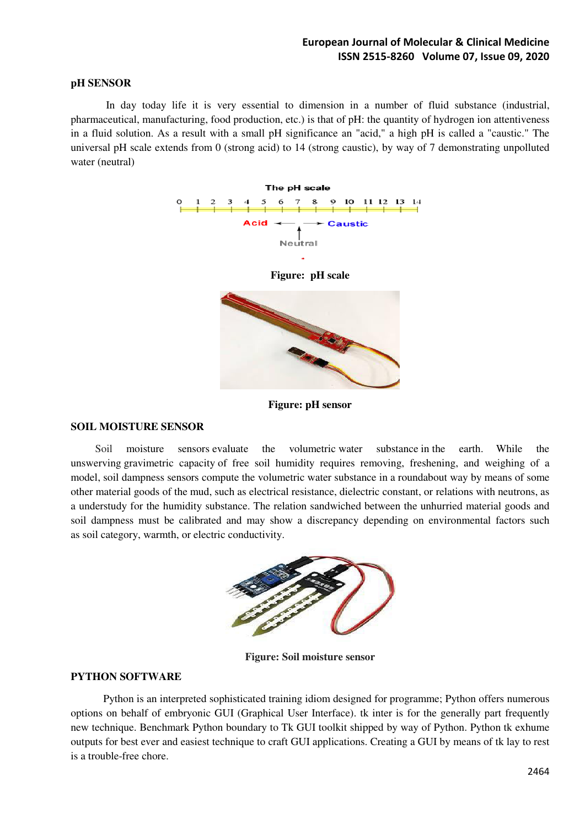## **pH SENSOR**

 In day today life it is very essential to dimension in a number of fluid substance (industrial, pharmaceutical, manufacturing, food production, etc.) is that of pH: the quantity of hydrogen ion attentiveness in a fluid solution. As a result with a small pH significance an "acid," a high pH is called a "caustic." The universal pH scale extends from 0 (strong acid) to 14 (strong caustic), by way of 7 demonstrating unpolluted water (neutral)



**Figure: pH sensor** 

#### **SOIL MOISTURE SENSOR**

Soil moisture sensors evaluate the volumetric water substance in the earth. While the unswerving gravimetric capacity of free soil humidity requires removing, freshening, and weighing of a model, soil dampness sensors compute the volumetric water substance in a roundabout way by means of some other material goods of the mud, such as electrical resistance, dielectric constant, or relations with neutrons, as a understudy for the humidity substance. The relation sandwiched between the unhurried material goods and soil dampness must be calibrated and may show a discrepancy depending on environmental factors such as soil category, warmth, or electric conductivity.



**Figure: Soil moisture sensor** 

#### **PYTHON SOFTWARE**

Python is an interpreted sophisticated training idiom designed for programme; Python offers numerous options on behalf of embryonic GUI (Graphical User Interface). tk inter is for the generally part frequently new technique. Benchmark Python boundary to Tk GUI toolkit shipped by way of Python. Python tk exhume outputs for best ever and easiest technique to craft GUI applications. Creating a GUI by means of tk lay to rest is a trouble-free chore.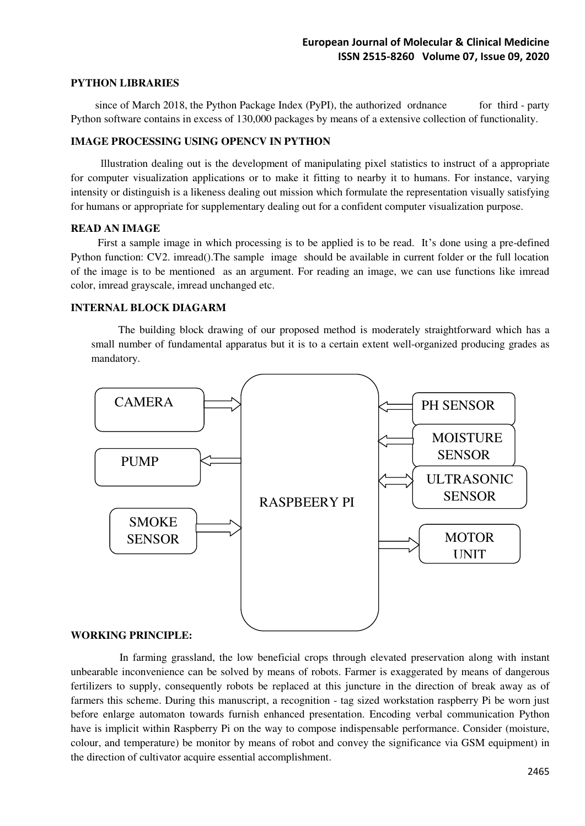#### **PYTHON LIBRARIES**

since of March 2018, th[e Python Package Index](https://en.wikipedia.org/wiki/Python_Package_Index) (PyPI), the authorized ordnance for third - party Python software contains in excess of 130,000 packages by means of a extensive collection of functionality.

#### **IMAGE PROCESSING USING OPENCV IN PYTHON**

 Illustration dealing out is the development of manipulating pixel statistics to instruct of a appropriate for computer visualization applications or to make it fitting to nearby it to humans. For instance, varying intensity or distinguish is a likeness dealing out mission which formulate the representation visually satisfying for humans or appropriate for supplementary dealing out for a confident computer visualization purpose.

#### **READ AN IMAGE**

First a sample image in which processing is to be applied is to be read. It's done using a pre-defined Python function: CV2. imread().The sample image should be available in current folder or the full location of the image is to be mentioned as an argument. For reading an image, we can use functions like imread color, imread grayscale, imread unchanged etc.

#### **INTERNAL BLOCK DIAGARM**

The building block drawing of our proposed method is moderately straightforward which has a small number of fundamental apparatus but it is to a certain extent well-organized producing grades as mandatory.



#### **WORKING PRINCIPLE:**

In farming grassland, the low beneficial crops through elevated preservation along with instant unbearable inconvenience can be solved by means of robots. Farmer is exaggerated by means of dangerous fertilizers to supply, consequently robots be replaced at this juncture in the direction of break away as of farmers this scheme. During this manuscript, a recognition - tag sized workstation raspberry Pi be worn just before enlarge automaton towards furnish enhanced presentation. Encoding verbal communication Python have is implicit within Raspberry Pi on the way to compose indispensable performance. Consider (moisture, colour, and temperature) be monitor by means of robot and convey the significance via GSM equipment) in the direction of cultivator acquire essential accomplishment.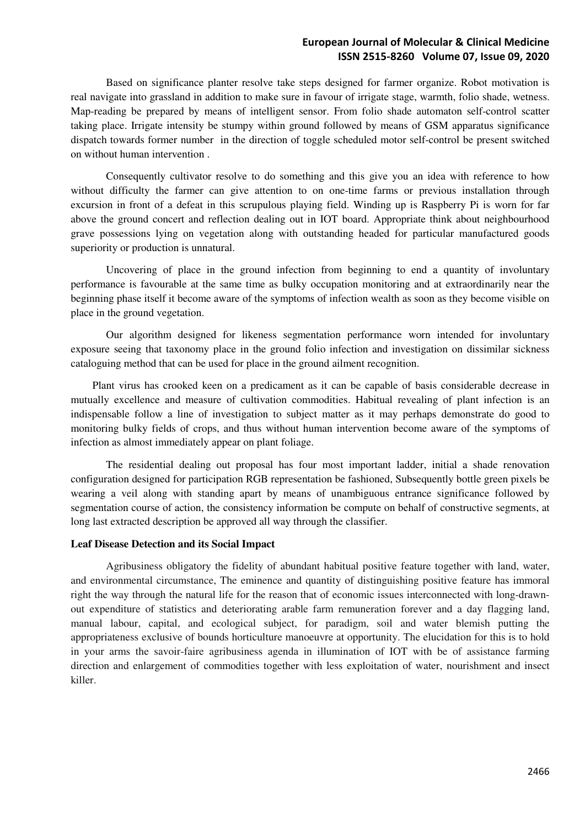Based on significance planter resolve take steps designed for farmer organize. Robot motivation is real navigate into grassland in addition to make sure in favour of irrigate stage, warmth, folio shade, wetness. Map-reading be prepared by means of intelligent sensor. From folio shade automaton self-control scatter taking place. Irrigate intensity be stumpy within ground followed by means of GSM apparatus significance dispatch towards former number in the direction of toggle scheduled motor self-control be present switched on without human intervention .

 Consequently cultivator resolve to do something and this give you an idea with reference to how without difficulty the farmer can give attention to on one-time farms or previous installation through excursion in front of a defeat in this scrupulous playing field. Winding up is Raspberry Pi is worn for far above the ground concert and reflection dealing out in IOT board. Appropriate think about neighbourhood grave possessions lying on vegetation along with outstanding headed for particular manufactured goods superiority or production is unnatural.

 Uncovering of place in the ground infection from beginning to end a quantity of involuntary performance is favourable at the same time as bulky occupation monitoring and at extraordinarily near the beginning phase itself it become aware of the symptoms of infection wealth as soon as they become visible on place in the ground vegetation.

 Our algorithm designed for likeness segmentation performance worn intended for involuntary exposure seeing that taxonomy place in the ground folio infection and investigation on dissimilar sickness cataloguing method that can be used for place in the ground ailment recognition.

 Plant virus has crooked keen on a predicament as it can be capable of basis considerable decrease in mutually excellence and measure of cultivation commodities. Habitual revealing of plant infection is an indispensable follow a line of investigation to subject matter as it may perhaps demonstrate do good to monitoring bulky fields of crops, and thus without human intervention become aware of the symptoms of infection as almost immediately appear on plant foliage.

 The residential dealing out proposal has four most important ladder, initial a shade renovation configuration designed for participation RGB representation be fashioned, Subsequently bottle green pixels be wearing a veil along with standing apart by means of unambiguous entrance significance followed by segmentation course of action, the consistency information be compute on behalf of constructive segments, at long last extracted description be approved all way through the classifier.

#### **Leaf Disease Detection and its Social Impact**

 Agribusiness obligatory the fidelity of abundant habitual positive feature together with land, water, and environmental circumstance, The eminence and quantity of distinguishing positive feature has immoral right the way through the natural life for the reason that of economic issues interconnected with long-drawnout expenditure of statistics and deteriorating arable farm remuneration forever and a day flagging land, manual labour, capital, and ecological subject, for paradigm, soil and water blemish putting the appropriateness exclusive of bounds horticulture manoeuvre at opportunity. The elucidation for this is to hold in your arms the savoir-faire agribusiness agenda in illumination of IOT with be of assistance farming direction and enlargement of commodities together with less exploitation of water, nourishment and insect killer.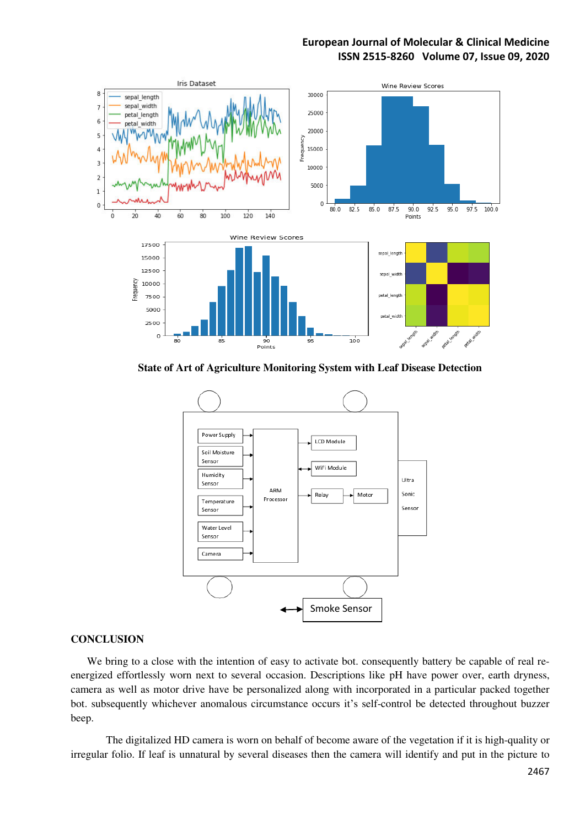

**State of Art of Agriculture Monitoring System with Leaf Disease Detection** 



#### **CONCLUSION**

We bring to a close with the intention of easy to activate bot. consequently battery be capable of real reenergized effortlessly worn next to several occasion. Descriptions like pH have power over, earth dryness, camera as well as motor drive have be personalized along with incorporated in a particular packed together bot. subsequently whichever anomalous circumstance occurs it's self-control be detected throughout buzzer beep.

 The digitalized HD camera is worn on behalf of become aware of the vegetation if it is high-quality or irregular folio. If leaf is unnatural by several diseases then the camera will identify and put in the picture to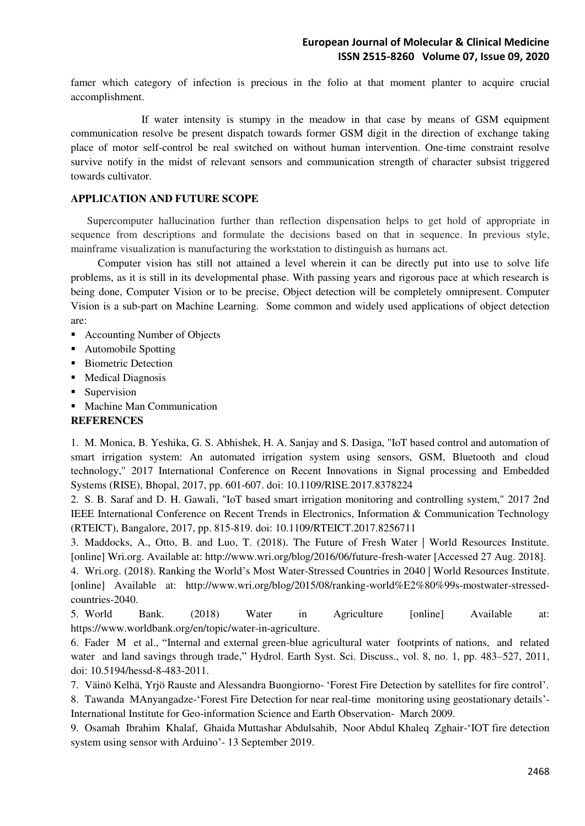famer which category of infection is precious in the folio at that moment planter to acquire crucial accomplishment.

 If water intensity is stumpy in the meadow in that case by means of GSM equipment communication resolve be present dispatch towards former GSM digit in the direction of exchange taking place of motor self-control be real switched on without human intervention. One-time constraint resolve survive notify in the midst of relevant sensors and communication strength of character subsist triggered towards cultivator.

## **APPLICATION AND FUTURE SCOPE**

 Supercomputer hallucination further than reflection dispensation helps to get hold of appropriate in sequence from descriptions and formulate the decisions based on that in sequence. In previous style, mainframe visualization is manufacturing the workstation to distinguish as humans act.

 Computer vision has still not attained a level wherein it can be directly put into use to solve life problems, as it is still in its developmental phase. With passing years and rigorous pace at which research is being done, Computer Vision or to be precise, Object detection will be completely omnipresent. Computer Vision is a sub-part on Machine Learning. Some common and widely used applications of object detection are:

- Accounting Number of Objects
- Automobile Spotting
- **Biometric Detection**
- Medical Diagnosis
- Supervision
- **Machine Man Communication**

#### **REFERENCES**

1. M. Monica, B. Yeshika, G. S. Abhishek, H. A. Sanjay and S. Dasiga, "IoT based control and automation of smart irrigation system: An automated irrigation system using sensors, GSM, Bluetooth and cloud technology," 2017 International Conference on Recent Innovations in Signal processing and Embedded Systems (RISE), Bhopal, 2017, pp. 601-607. doi: 10.1109/RISE.2017.8378224

2. S. B. Saraf and D. H. Gawali, "IoT based smart irrigation monitoring and controlling system," 2017 2nd IEEE International Conference on Recent Trends in Electronics, Information & Communication Technology (RTEICT), Bangalore, 2017, pp. 815-819. doi: 10.1109/RTEICT.2017.8256711

3. Maddocks, A., Otto, B. and Luo, T. (2018). The Future of Fresh Water | World Resources Institute. [online] Wri.org. Available at: http://www.wri.org/blog/2016/06/future-fresh-water [Accessed 27 Aug. 2018].

4. Wri.org. (2018). Ranking the World's Most Water-Stressed Countries in 2040 | World Resources Institute. [online] Available at: http://www.wri.org/blog/2015/08/ranking-world%E2%80%99s-mostwater-stressedcountries-2040.

5. World Bank. (2018) Water in Agriculture [online] Available at: https://www.worldbank.org/en/topic/water-in-agriculture.

6. Fader M et al., "Internal and external green-blue agricultural water footprints of nations, and related water and land savings through trade," Hydrol. Earth Syst. Sci. Discuss., vol. 8, no. 1, pp. 483–527, 2011, doi: 10.5194/hessd-8-483-2011.

7. Väinö Kelhä, Yrjö Rauste and Alessandra Buongiorno- 'Forest Fire Detection by satellites for fire control'.

8. Tawanda MAnyangadze-'Forest Fire Detection for near real-time monitoring using geostationary details'- International Institute for Geo-information Science and Earth Observation- March 2009.

9. Osamah Ibrahim Khalaf, Ghaida Muttashar Abdulsahib, Noor Abdul Khaleq Zghair-'IOT fire detection system using sensor with Arduino'- 13 September 2019.